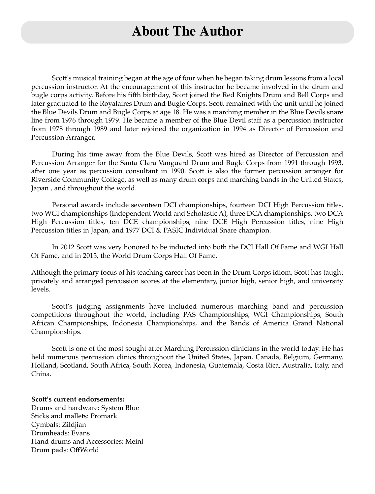### **About The Author**

Scott's musical training began at the age of four when he began taking drum lessons from a local percussion instructor. At the encouragement of this instructor he became involved in the drum and bugle corps activity. Before his fifth birthday, Scott joined the Red Knights Drum and Bell Corps and later graduated to the Royalaires Drum and Bugle Corps. Scott remained with the unit until he joined the Blue Devils Drum and Bugle Corps at age 18. He was a marching member in the Blue Devils snare line from 1976 through 1979. He became a member of the Blue Devil staff as a percussion instructor from 1978 through 1989 and later rejoined the organization in 1994 as Director of Percussion and Percussion Arranger.

During his time away from the Blue Devils, Scott was hired as Director of Percussion and Percussion Arranger for the Santa Clara Vanguard Drum and Bugle Corps from 1991 through 1993, after one year as percussion consultant in 1990. Scott is also the former percussion arranger for Riverside Community College, as well as many drum corps and marching bands in the United States, Japan , and throughout the world.

Personal awards include seventeen DCI championships, fourteen DCI High Percussion titles, two WGI championships (Independent World and Scholastic A), three DCA championships, two DCA High Percussion titles, ten DCE championships, nine DCE High Percussion titles, nine High Percussion titles in Japan, and 1977 DCI & PASIC Individual Snare champion.

In 2012 Scott was very honored to be inducted into both the DCI Hall Of Fame and WGI Hall Of Fame, and in 2015, the World Drum Corps Hall Of Fame.

Although the primary focus of his teaching career has been in the Drum Corps idiom, Scott has taught privately and arranged percussion scores at the elementary, junior high, senior high, and university levels.

Scott's judging assignments have included numerous marching band and percussion competitions throughout the world, including PAS Championships, WGI Championships, South African Championships, Indonesia Championships, and the Bands of America Grand National Championships.

Scott is one of the most sought after Marching Percussion clinicians in the world today. He has held numerous percussion clinics throughout the United States, Japan, Canada, Belgium, Germany, Holland, Scotland, South Africa, South Korea, Indonesia, Guatemala, Costa Rica, Australia, Italy, and China.

**Scott's current endorsements:** Drums and hardware: System Blue Sticks and mallets: Promark Cymbals: Zildjian Drumheads: Evans Hand drums and Accessories: Meinl Drum pads: OffWorld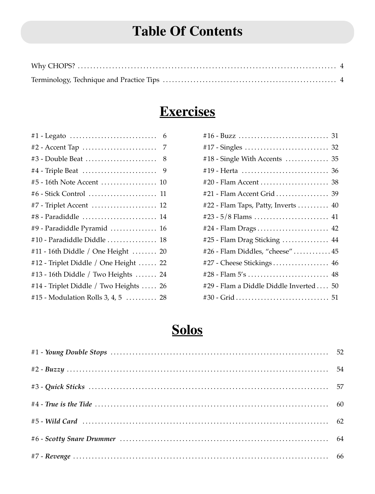# **Table Of Contents**

# **Exercises**

| #1 - Legato<br>6                       |  |
|----------------------------------------|--|
| #2 - Accent Tap<br>7                   |  |
| $#3$ - Double Beat<br>8                |  |
| #4 - Triple Beat<br>9                  |  |
| #5 - 16th Note Accent  10              |  |
|                                        |  |
| #7 - Triplet Accent  12                |  |
| #8 - Paradiddle  14                    |  |
| #9 - Paradiddle Pyramid  16            |  |
| #10 - Paradiddle Diddle  18            |  |
| #11 - 16th Diddle / One Height  20     |  |
| #12 - Triplet Diddle / One Height  22  |  |
| #13 - 16th Diddle / Two Heights  24    |  |
| #14 - Triplet Diddle / Two Heights  26 |  |
| #15 - Modulation Rolls 3, 4, 5  28     |  |
|                                        |  |

| #18 - Single With Accents $\dots\dots\dots\dots$ 35 |
|-----------------------------------------------------|
|                                                     |
|                                                     |
| #21 - Flam Accent Grid  39                          |
| #22 - Flam Taps, Patty, Inverts  40                 |
|                                                     |
|                                                     |
| #25 - Flam Drag Sticking  44                        |
| #26 - Flam Diddles, "cheese"  45                    |
| #27 - Cheese Stickings 46                           |
|                                                     |
| #29 - Flam a Diddle Diddle Inverted 50              |
| $#30 - Grid \dots 51$                               |

# **Solos**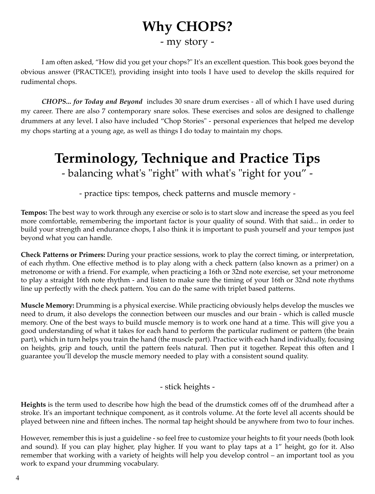# **Why CHOPS?** - my story -

I am often asked, "How did you get your chops?" It's an excellent question. This book goes beyond the obvious answer (PRACTICE!), providing insight into tools I have used to develop the skills required for rudimental chops.

*CHOPS... for Today and Beyond* includes 30 snare drum exercises - all of which I have used during my career. There are also 7 contemporary snare solos. These exercises and solos are designed to challenge drummers at any level. I also have included "Chop Stories" - personal experiences that helped me develop my chops starting at a young age, as well as things I do today to maintain my chops.

# **Terminology, Technique and Practice Tips**

- balancing what's "right" with what's "right for you" -

- practice tips: tempos, check patterns and muscle memory -

**Tempos:** The best way to work through any exercise or solo is to start slow and increase the speed as you feel more comfortable, remembering the important factor is your quality of sound. With that said... in order to build your strength and endurance chops, I also think it is important to push yourself and your tempos just beyond what you can handle.

**Check Patterns or Primers:** During your practice sessions, work to play the correct timing, or interpretation, of each rhythm. One effective method is to play along with a check pattern (also known as a primer) on a metronome or with a friend. For example, when practicing a 16th or 32nd note exercise, set your metronome to play a straight 16th note rhythm - and listen to make sure the timing of your 16th or 32nd note rhythms line up perfectly with the check pattern. You can do the same with triplet based patterns.

**Muscle Memory:** Drumming is a physical exercise. While practicing obviously helps develop the muscles we need to drum, it also develops the connection between our muscles and our brain - which is called muscle memory. One of the best ways to build muscle memory is to work one hand at a time. This will give you a good understanding of what it takes for each hand to perform the particular rudiment or pattern (the brain part), which in turn helps you train the hand (the muscle part). Practice with each hand individually, focusing on heights, grip and touch, until the pattern feels natural. Then put it together. Repeat this often and I guarantee you'll develop the muscle memory needed to play with a consistent sound quality.

- stick heights -

**Heights** is the term used to describe how high the bead of the drumstick comes off of the drumhead after a stroke. It's an important technique component, as it controls volume. At the forte level all accents should be played between nine and fifteen inches. The normal tap height should be anywhere from two to four inches.

However, remember this is just a guideline - so feel free to customize your heights to fit your needs (both look and sound). If you can play higher, play higher. If you want to play taps at a 1" height, go for it. Also remember that working with a variety of heights will help you develop control – an important tool as you work to expand your drumming vocabulary.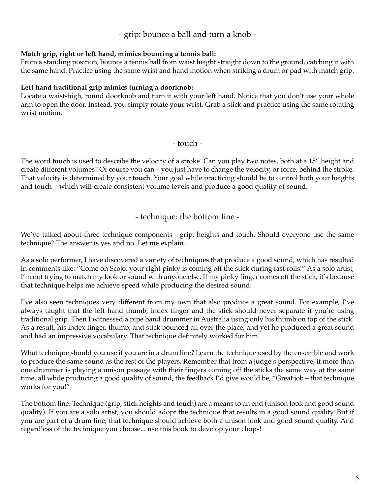#### - grip: bounce a ball and turn a knob -

#### **Match grip, right or left hand, mimics bouncing a tennis ball:**

From a standing position, bounce a tennis ball from waist height straight down to the ground, catching it with the same hand. Practice using the same wrist and hand motion when striking a drum or pad with match grip.

#### **Left hand traditional grip mimics turning a doorknob:**

Locate a waist-high, round doorknob and turn it with your left hand. Notice that you don't use your whole arm to open the door. Instead, you simply rotate your wrist. Grab a stick and practice using the same rotating wrist motion.

- touch -

The word **touch** is used to describe the velocity of a stroke. Can you play two notes, both at a 15" height and create different volumes? Of course you can – you just have to change the velocity, or force, behind the stroke. That velocity is determined by your **touch**. Your goal while practicing should be to control both your heights and touch – which will create consistent volume levels and produce a good quality of sound.

- technique: the bottom line -

We've talked about three technique components - grip, heights and touch. Should everyone use the same technique? The answer is yes and no. Let me explain...

As a solo performer, I have discovered a variety of techniques that produce a good sound, which has resulted in comments like: "Come on Scojo, your right pinky is coming off the stick during fast rolls!" As a solo artist, I'm not trying to match my look or sound with anyone else. If my pinky finger comes off the stick, it's because that technique helps me achieve speed while producing the desired sound.

I've also seen techniques very different from my own that also produce a great sound. For example, I've always taught that the left hand thumb, index finger and the stick should never separate if you're using traditional grip. Then I witnessed a pipe band drummer in Australia using only his thumb on top of the stick. As a result, his index finger, thumb, and stick bounced all over the place, and yet he produced a great sound and had an impressive vocabulary. That technique definitely worked for him.

What technique should you use if you are in a drum line? Learn the technique used by the ensemble and work to produce the same sound as the rest of the players. Remember that from a judge's perspective, if more than one drummer is playing a unison passage with their fingers coming off the sticks the same way at the same time, all while producing a good quality of sound, the feedback I'd give would be, "Great job – that technique works for you!"

The bottom line: Technique (grip, stick heights and touch) are a means to an end (unison look and good sound quality). If you are a solo artist, you should adopt the technique that results in a good sound quality. But if you are part of a drum line, that technique should achieve both a unison look and good sound quality. And regardless of the technique you choose... use this book to develop your chops!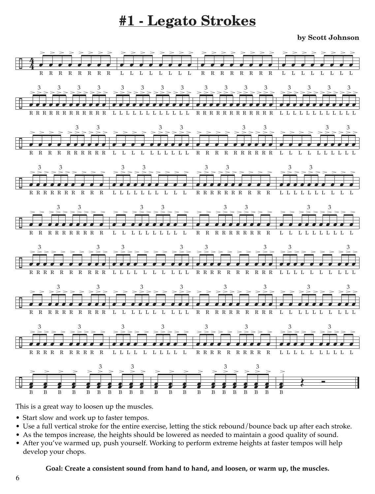# **#1 - Legato Strokes**

**by Scott Johnson**



This is a great way to loosen up the muscles.

- Start slow and work up to faster tempos.
- Use a full vertical stroke for the entire exercise, letting the stick rebound/bounce back up after each stroke.
- As the tempos increase, the heights should be lowered as needed to maintain a good quality of sound.
- After you've warmed up, push yourself. Working to perform extreme heights at faster tempos will help develop your chops.

#### **Goal: Create a consistent sound from hand to hand, and loosen, or warm up, the muscles.**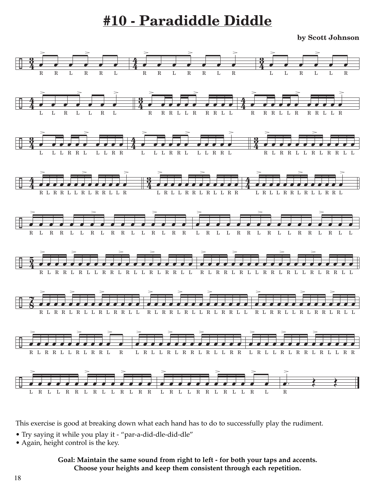# **#10 - Paradiddle Diddle**

**by Scott Johnson**



This exercise is good at breaking down what each hand has to do to successfully play the rudiment.

- Try saying it while you play it "par-a-did-dle-did-dle"
- Again, height control is the key.

#### **Goal: Maintain the same sound from right to left - for both your taps and accents. Choose your heights and keep them consistent through each repetition.**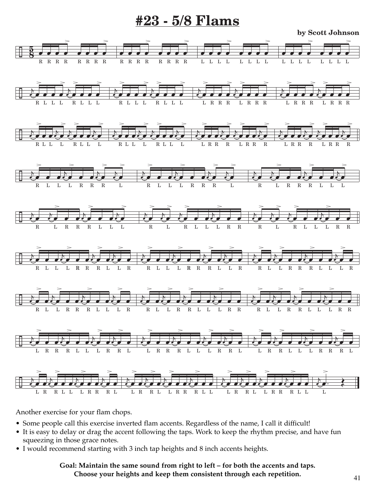### **#23 - 5/8 Flams**

**by Scott Johnson**



Another exercise for your flam chops.

- Some people call this exercise inverted flam accents. Regardless of the name, I call it difficult!
- It is easy to delay or drag the accent following the taps. Work to keep the rhythm precise, and have fun squeezing in those grace notes.
- I would recommend starting with 3 inch tap heights and 8 inch accents heights.

#### **Goal: Maintain the same sound from right to left – for both the accents and taps. Choose your heights and keep them consistent through each repetition.**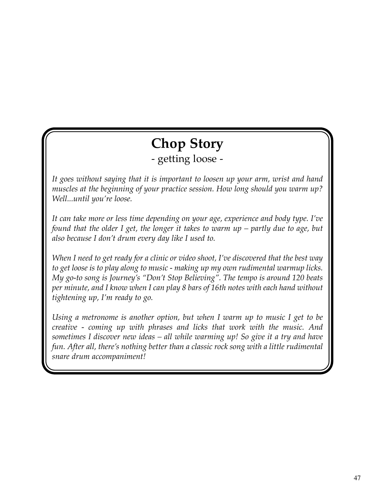# **Chop Story**

- getting loose -

*It goes without saying that it is important to loosen up your arm, wrist and hand muscles at the beginning of your practice session. How long should you warm up? Well...until you're loose.*

*It can take more or less time depending on your age, experience and body type. I've found that the older I get, the longer it takes to warm up – partly due to age, but also because I don't drum every day like I used to.*

*When I need to get ready for a clinic or video shoot, I've discovered that the best way to get loose is to play along to music - making up my own rudimental warmup licks. My go-to song is Journey's "Don't Stop Believing". The tempo is around 120 beats per minute, and I know when I can play 8 bars of 16th notes with each hand without tightening up, I'm ready to go.*

*Using a metronome is another option, but when I warm up to music I get to be creative - coming up with phrases and licks that work with the music. And sometimes I discover new ideas – all while warming up! So give it a try and have fun. After all, there's nothing better than a classic rock song with a little rudimental snare drum accompaniment!*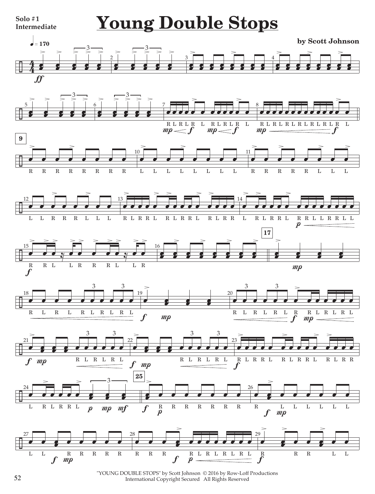

"YOUNG DOUBLE STOPS" by Scott Johnson © 2016 by Row-Loff Productions International Copyright Secured All Rights Reserved